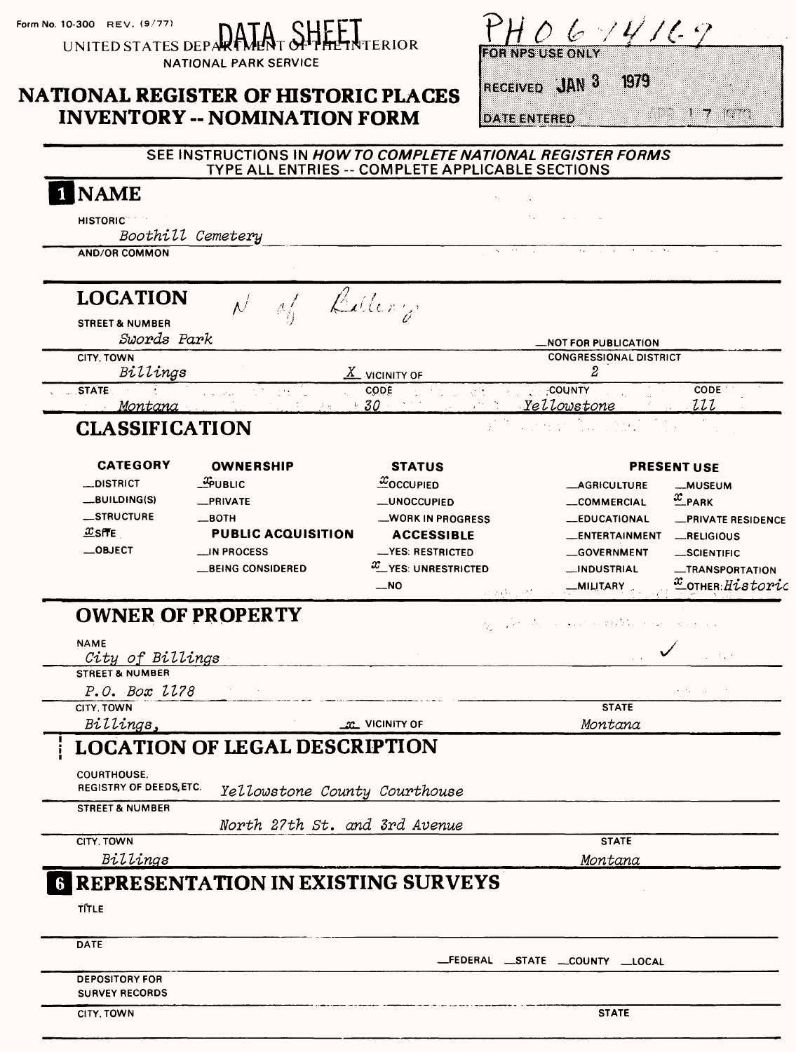| Form No. 10-300 REV. $(9/77)$ |  |  |  |
|-------------------------------|--|--|--|
|-------------------------------|--|--|--|

UNITED STATES DEP SHEET<br>SHEETNTERIOR

NATIONAL PARK SERVICE

# **NATIONAL REGISTER OF HISTORIC PLACES INVENTORY - NOMINATION FORM**

RECEIVED JAN 3 1979

**DATE ENTERED** 

 $\mathcal{L} = \mathcal{L} = \mathcal{L} = \mathcal{L} = \mathcal{L} = \mathcal{L} = \mathcal{L} = \mathcal{L} = \mathcal{L} = \mathcal{L} = \mathcal{L} = \mathcal{L} = \mathcal{L} = \mathcal{L} = \mathcal{L} = \mathcal{L} = \mathcal{L} = \mathcal{L}$ 

| $\sigma_{\rm{eff}}$<br>and the company<br><b>HISTORIC</b><br>Boothill Cemetery<br><b>AND/OR COMMON</b><br><b>LOCATION</b><br>Billery<br><b>STREET &amp; NUMBER</b><br>Swords Park<br><b>NOT FOR PUBLICATION.</b><br><b>CONGRESSIONAL DISTRICT</b><br>CITY, TOWN<br>Billings<br>2<br>$\underline{X}$ vicinity of<br><b>STATE</b><br><b>COUNTY</b><br>CODE 11<br>CODE<br>2000<br>₫Ñ.<br>$2 - 1 - 2$<br>Yellowstone<br>$\cdot$ 30<br>222<br><u>Montana</u><br><b>CLASSIFICATION</b><br><b>CATEGORY</b><br><b>OWNERSHIP</b><br><b>STATUS</b><br><b>PRESENT USE</b><br>$x_0$ <sub>CCUPIED</sub><br>$\frac{3}{2}$ PUBLIC<br>_DISTRICT<br><b>__AGRICULTURE</b><br><b>_MUSEUM</b><br>$\frac{x}{2}$ PARK<br>_BUILDING(S)<br>_PRIVATE<br><b>__UNOCCUPIED</b><br>COMMERCIAL<br>_STRUCTURE<br>$-$ BOTH<br><b>WORK IN PROGRESS</b><br><b>LEDUCATIONAL</b><br>$x$ site<br><b>PUBLIC ACQUISITION</b><br><b>ACCESSIBLE</b><br>__ENTERTAINMENT<br>-RELIGIOUS<br>$\_$ OBJECT<br>__IN PROCESS<br>-YES: RESTRICTED<br>-GOVERNMENT<br>_SCIENTIFIC<br>$x$ <sub>__</sub> YES: UNRESTRICTED<br><b>__BEING CONSIDERED</b><br>__INDUSTRIAL<br>$\overline{\phantom{0}}$ NO<br>__MILITARY<br>ing Accord<br><b>OWNER OF PROPERTY</b><br>经可取消<br>and the state of the<br><b>NAME</b><br>2 de de<br>City of Billings<br><b>STREET &amp; NUMBER</b><br>P.O. Box 1178<br>メディー (人)<br><b>Contract</b><br>CITY, TOWN<br><b>STATE</b><br>Billings,<br>Montana<br><b>M</b> VICINITY OF<br><b>LOCATION OF LEGAL DESCRIPTION</b><br><b>COURTHOUSE.</b><br><b>REGISTRY OF DEEDS, ETC.</b><br>Yellowstone County Courthouse<br><b>STREET &amp; NUMBER</b><br>North 27th St. and 3rd Avenue<br><b>STATE</b><br>CITY, TOWN<br>Billings<br>Montana<br><b>REPRESENTATION IN EXISTING SURVEYS</b><br>6<br><b>TITLE</b> | <b>NAME</b> | N. |                           |
|--------------------------------------------------------------------------------------------------------------------------------------------------------------------------------------------------------------------------------------------------------------------------------------------------------------------------------------------------------------------------------------------------------------------------------------------------------------------------------------------------------------------------------------------------------------------------------------------------------------------------------------------------------------------------------------------------------------------------------------------------------------------------------------------------------------------------------------------------------------------------------------------------------------------------------------------------------------------------------------------------------------------------------------------------------------------------------------------------------------------------------------------------------------------------------------------------------------------------------------------------------------------------------------------------------------------------------------------------------------------------------------------------------------------------------------------------------------------------------------------------------------------------------------------------------------------------------------------------------------------------------------------------------------------------------------------------------------------------------------------------------------------------|-------------|----|---------------------------|
|                                                                                                                                                                                                                                                                                                                                                                                                                                                                                                                                                                                                                                                                                                                                                                                                                                                                                                                                                                                                                                                                                                                                                                                                                                                                                                                                                                                                                                                                                                                                                                                                                                                                                                                                                                          |             |    |                           |
|                                                                                                                                                                                                                                                                                                                                                                                                                                                                                                                                                                                                                                                                                                                                                                                                                                                                                                                                                                                                                                                                                                                                                                                                                                                                                                                                                                                                                                                                                                                                                                                                                                                                                                                                                                          |             |    |                           |
|                                                                                                                                                                                                                                                                                                                                                                                                                                                                                                                                                                                                                                                                                                                                                                                                                                                                                                                                                                                                                                                                                                                                                                                                                                                                                                                                                                                                                                                                                                                                                                                                                                                                                                                                                                          |             |    |                           |
|                                                                                                                                                                                                                                                                                                                                                                                                                                                                                                                                                                                                                                                                                                                                                                                                                                                                                                                                                                                                                                                                                                                                                                                                                                                                                                                                                                                                                                                                                                                                                                                                                                                                                                                                                                          |             |    |                           |
|                                                                                                                                                                                                                                                                                                                                                                                                                                                                                                                                                                                                                                                                                                                                                                                                                                                                                                                                                                                                                                                                                                                                                                                                                                                                                                                                                                                                                                                                                                                                                                                                                                                                                                                                                                          |             |    |                           |
|                                                                                                                                                                                                                                                                                                                                                                                                                                                                                                                                                                                                                                                                                                                                                                                                                                                                                                                                                                                                                                                                                                                                                                                                                                                                                                                                                                                                                                                                                                                                                                                                                                                                                                                                                                          |             |    |                           |
|                                                                                                                                                                                                                                                                                                                                                                                                                                                                                                                                                                                                                                                                                                                                                                                                                                                                                                                                                                                                                                                                                                                                                                                                                                                                                                                                                                                                                                                                                                                                                                                                                                                                                                                                                                          |             |    |                           |
|                                                                                                                                                                                                                                                                                                                                                                                                                                                                                                                                                                                                                                                                                                                                                                                                                                                                                                                                                                                                                                                                                                                                                                                                                                                                                                                                                                                                                                                                                                                                                                                                                                                                                                                                                                          |             |    |                           |
|                                                                                                                                                                                                                                                                                                                                                                                                                                                                                                                                                                                                                                                                                                                                                                                                                                                                                                                                                                                                                                                                                                                                                                                                                                                                                                                                                                                                                                                                                                                                                                                                                                                                                                                                                                          |             |    |                           |
|                                                                                                                                                                                                                                                                                                                                                                                                                                                                                                                                                                                                                                                                                                                                                                                                                                                                                                                                                                                                                                                                                                                                                                                                                                                                                                                                                                                                                                                                                                                                                                                                                                                                                                                                                                          |             |    |                           |
|                                                                                                                                                                                                                                                                                                                                                                                                                                                                                                                                                                                                                                                                                                                                                                                                                                                                                                                                                                                                                                                                                                                                                                                                                                                                                                                                                                                                                                                                                                                                                                                                                                                                                                                                                                          |             |    |                           |
|                                                                                                                                                                                                                                                                                                                                                                                                                                                                                                                                                                                                                                                                                                                                                                                                                                                                                                                                                                                                                                                                                                                                                                                                                                                                                                                                                                                                                                                                                                                                                                                                                                                                                                                                                                          |             |    |                           |
|                                                                                                                                                                                                                                                                                                                                                                                                                                                                                                                                                                                                                                                                                                                                                                                                                                                                                                                                                                                                                                                                                                                                                                                                                                                                                                                                                                                                                                                                                                                                                                                                                                                                                                                                                                          |             |    |                           |
|                                                                                                                                                                                                                                                                                                                                                                                                                                                                                                                                                                                                                                                                                                                                                                                                                                                                                                                                                                                                                                                                                                                                                                                                                                                                                                                                                                                                                                                                                                                                                                                                                                                                                                                                                                          |             |    |                           |
|                                                                                                                                                                                                                                                                                                                                                                                                                                                                                                                                                                                                                                                                                                                                                                                                                                                                                                                                                                                                                                                                                                                                                                                                                                                                                                                                                                                                                                                                                                                                                                                                                                                                                                                                                                          |             |    |                           |
|                                                                                                                                                                                                                                                                                                                                                                                                                                                                                                                                                                                                                                                                                                                                                                                                                                                                                                                                                                                                                                                                                                                                                                                                                                                                                                                                                                                                                                                                                                                                                                                                                                                                                                                                                                          |             |    | <b>_PRIVATE RESIDENCE</b> |
|                                                                                                                                                                                                                                                                                                                                                                                                                                                                                                                                                                                                                                                                                                                                                                                                                                                                                                                                                                                                                                                                                                                                                                                                                                                                                                                                                                                                                                                                                                                                                                                                                                                                                                                                                                          |             |    |                           |
|                                                                                                                                                                                                                                                                                                                                                                                                                                                                                                                                                                                                                                                                                                                                                                                                                                                                                                                                                                                                                                                                                                                                                                                                                                                                                                                                                                                                                                                                                                                                                                                                                                                                                                                                                                          |             |    |                           |
|                                                                                                                                                                                                                                                                                                                                                                                                                                                                                                                                                                                                                                                                                                                                                                                                                                                                                                                                                                                                                                                                                                                                                                                                                                                                                                                                                                                                                                                                                                                                                                                                                                                                                                                                                                          |             |    | -TRANSPORTATION           |
|                                                                                                                                                                                                                                                                                                                                                                                                                                                                                                                                                                                                                                                                                                                                                                                                                                                                                                                                                                                                                                                                                                                                                                                                                                                                                                                                                                                                                                                                                                                                                                                                                                                                                                                                                                          |             |    | COTHER: Historic          |
|                                                                                                                                                                                                                                                                                                                                                                                                                                                                                                                                                                                                                                                                                                                                                                                                                                                                                                                                                                                                                                                                                                                                                                                                                                                                                                                                                                                                                                                                                                                                                                                                                                                                                                                                                                          |             |    |                           |
|                                                                                                                                                                                                                                                                                                                                                                                                                                                                                                                                                                                                                                                                                                                                                                                                                                                                                                                                                                                                                                                                                                                                                                                                                                                                                                                                                                                                                                                                                                                                                                                                                                                                                                                                                                          |             |    |                           |
|                                                                                                                                                                                                                                                                                                                                                                                                                                                                                                                                                                                                                                                                                                                                                                                                                                                                                                                                                                                                                                                                                                                                                                                                                                                                                                                                                                                                                                                                                                                                                                                                                                                                                                                                                                          |             |    |                           |
|                                                                                                                                                                                                                                                                                                                                                                                                                                                                                                                                                                                                                                                                                                                                                                                                                                                                                                                                                                                                                                                                                                                                                                                                                                                                                                                                                                                                                                                                                                                                                                                                                                                                                                                                                                          |             |    |                           |
|                                                                                                                                                                                                                                                                                                                                                                                                                                                                                                                                                                                                                                                                                                                                                                                                                                                                                                                                                                                                                                                                                                                                                                                                                                                                                                                                                                                                                                                                                                                                                                                                                                                                                                                                                                          |             |    |                           |
|                                                                                                                                                                                                                                                                                                                                                                                                                                                                                                                                                                                                                                                                                                                                                                                                                                                                                                                                                                                                                                                                                                                                                                                                                                                                                                                                                                                                                                                                                                                                                                                                                                                                                                                                                                          |             |    |                           |
|                                                                                                                                                                                                                                                                                                                                                                                                                                                                                                                                                                                                                                                                                                                                                                                                                                                                                                                                                                                                                                                                                                                                                                                                                                                                                                                                                                                                                                                                                                                                                                                                                                                                                                                                                                          |             |    |                           |
|                                                                                                                                                                                                                                                                                                                                                                                                                                                                                                                                                                                                                                                                                                                                                                                                                                                                                                                                                                                                                                                                                                                                                                                                                                                                                                                                                                                                                                                                                                                                                                                                                                                                                                                                                                          |             |    |                           |
|                                                                                                                                                                                                                                                                                                                                                                                                                                                                                                                                                                                                                                                                                                                                                                                                                                                                                                                                                                                                                                                                                                                                                                                                                                                                                                                                                                                                                                                                                                                                                                                                                                                                                                                                                                          |             |    |                           |
|                                                                                                                                                                                                                                                                                                                                                                                                                                                                                                                                                                                                                                                                                                                                                                                                                                                                                                                                                                                                                                                                                                                                                                                                                                                                                                                                                                                                                                                                                                                                                                                                                                                                                                                                                                          |             |    |                           |
|                                                                                                                                                                                                                                                                                                                                                                                                                                                                                                                                                                                                                                                                                                                                                                                                                                                                                                                                                                                                                                                                                                                                                                                                                                                                                                                                                                                                                                                                                                                                                                                                                                                                                                                                                                          |             |    |                           |
|                                                                                                                                                                                                                                                                                                                                                                                                                                                                                                                                                                                                                                                                                                                                                                                                                                                                                                                                                                                                                                                                                                                                                                                                                                                                                                                                                                                                                                                                                                                                                                                                                                                                                                                                                                          |             |    |                           |
|                                                                                                                                                                                                                                                                                                                                                                                                                                                                                                                                                                                                                                                                                                                                                                                                                                                                                                                                                                                                                                                                                                                                                                                                                                                                                                                                                                                                                                                                                                                                                                                                                                                                                                                                                                          |             |    |                           |
|                                                                                                                                                                                                                                                                                                                                                                                                                                                                                                                                                                                                                                                                                                                                                                                                                                                                                                                                                                                                                                                                                                                                                                                                                                                                                                                                                                                                                                                                                                                                                                                                                                                                                                                                                                          |             |    |                           |
|                                                                                                                                                                                                                                                                                                                                                                                                                                                                                                                                                                                                                                                                                                                                                                                                                                                                                                                                                                                                                                                                                                                                                                                                                                                                                                                                                                                                                                                                                                                                                                                                                                                                                                                                                                          |             |    |                           |
|                                                                                                                                                                                                                                                                                                                                                                                                                                                                                                                                                                                                                                                                                                                                                                                                                                                                                                                                                                                                                                                                                                                                                                                                                                                                                                                                                                                                                                                                                                                                                                                                                                                                                                                                                                          |             |    |                           |
|                                                                                                                                                                                                                                                                                                                                                                                                                                                                                                                                                                                                                                                                                                                                                                                                                                                                                                                                                                                                                                                                                                                                                                                                                                                                                                                                                                                                                                                                                                                                                                                                                                                                                                                                                                          |             |    |                           |
| <b>DATE</b>                                                                                                                                                                                                                                                                                                                                                                                                                                                                                                                                                                                                                                                                                                                                                                                                                                                                                                                                                                                                                                                                                                                                                                                                                                                                                                                                                                                                                                                                                                                                                                                                                                                                                                                                                              |             |    |                           |

**CITY, TOWN** STATE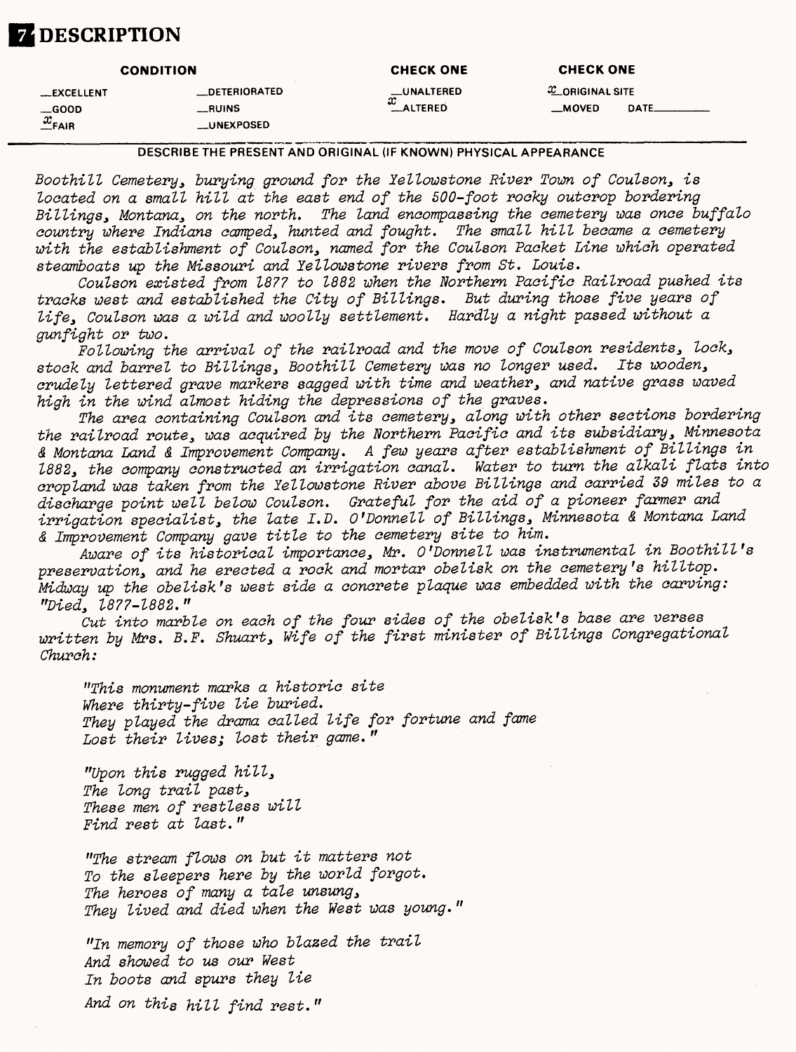# **Z** DESCRIPTION

|                    | <b>CONDITION</b>     | <b>CHECK ONE</b> | <b>CHECK ONE</b>  |             |
|--------------------|----------------------|------------------|-------------------|-------------|
| <b>LEXCELLENT</b>  | <b>LOETERIORATED</b> | __UNALTERED<br>x | $x$ ORIGINAL SITE |             |
| $\equiv$ GOOD      | $\_$ RUINS           | <b>ALTERED</b>   | __MOVED           | <b>DATE</b> |
| $\frac{x}{2}$ FAIR | __UNEXPOSED          |                  |                   |             |

#### DESCRIBE THE PRESENT AND ORIGINAL (IF KNOWN) PHYSICAL APPEARANCE

Boothill Cemetery, burying ground for the Yellowstone River Town of Coulson, is located on a small hill at the east end of the 500-foot rooky outcrop bordering Billings, Montana, on the north. The land encompassing the cemetery was once buffalo country where Indians camped, hunted and fought. The small hill became a cemetery with the establishment of Coulson, named for the Coulson Packet Line which operated steamboats up the Missouri and lellowstone rivers from St. Louis.

Coulson existed from 1877 to 1882 when the Northern Pacific Railroad pushed its tracks west and established the City of Billings. But during those five years of life, Coulson was a wild and woolly settlement. Hardly a night passed without a gun fight or two.

Following the arrival of the railroad and the move of Coulson residents, lock, stock and barrel to Billings, Boothill Cemetery was no longer used. Its wooden, crudely lettered grave markers sagged with time and weather, and native grass waved high in the wind almost hiding the depressions of the graves.

The area containing Coulson and its cemetery, along with other sections bordering the railroad route, was acquired by the Northern Pacific and its subsidiary, Minnesota & Montana Land & Improvement Company. A few years after establishment of Billings in 1882, the company constructed an irrigation canal. Water to turn the alkali flats into cropland was taken from the lellowstone River above Billings and carried 39 miles to a discharge point well below Coulson. Grateful for the aid of a pioneer farmer and irrigation specialist, the late I.D. O'Donnell of Billings, Minnesota & Montana Land & Improvement Company gave title to the cemetery site to him.

Aware of its historical importance, Mr. O'Donnell was instrumental in Boothill's preservation, and he erected a rock and mortar obelisk on the cemetery 's hilltop. Midway up the obelisk's west side a concrete plaque was embedded with the carving: "Died, 1877-1882."

Cut into marble on each of the four sides of the obelisk's base are verses written by Mrs. B.F. Shuart, Wife of the first minister of Billings Congregational Church:

"This monument marks a historic site Where thirty-five lie buried. They played the drama called life for fortune and fame Lost their lives; lost their game."

"Upon this rugged hill, The long trail past, These men of restless will Find rest at last."

"The stream flows on but it matters not To the sleepers here by the world forgot. The heroes of many a tale unsung, They lived and died when the West was young."

"In memory of those who blazed the trail And showed to us our West In boots and spurs they lie

And on this hill find rest."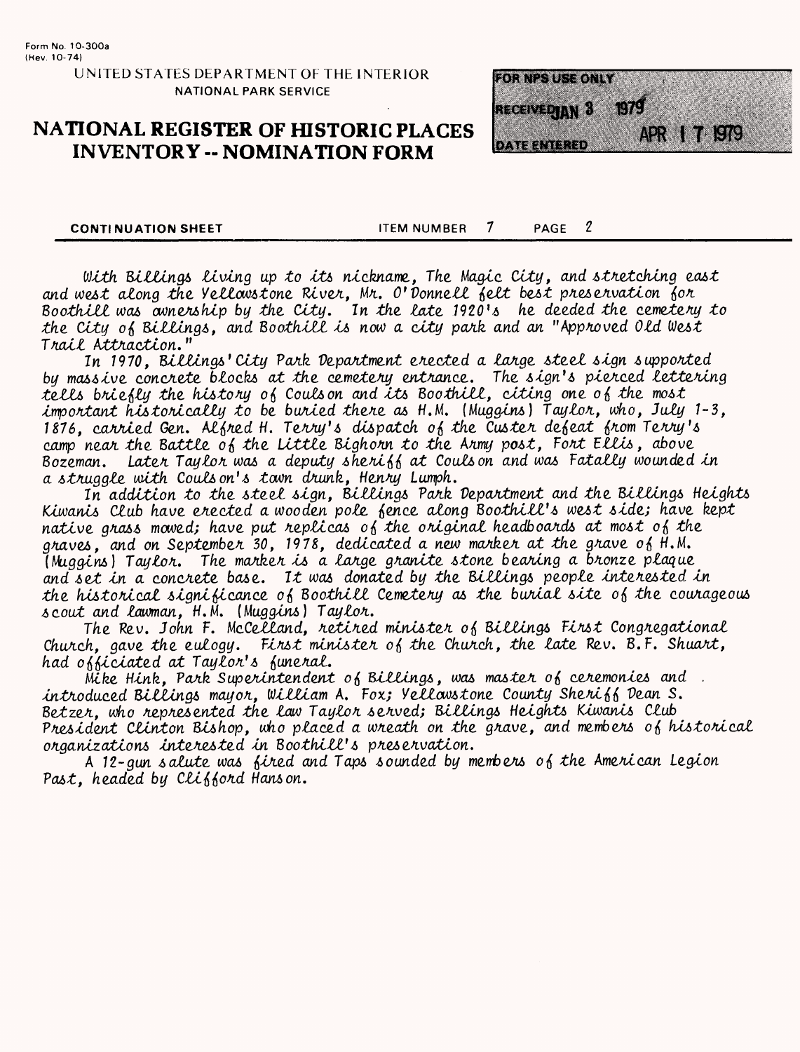# **NATIONAL REGISTER OF HISTORIC PLACES INVENTORY -- NOMINATION FORM**



**CONTINUATION SHEET** 

 $\boldsymbol{\eta}$  $\mathcal I$ **ITEM NUMBER** PAGE

With Billings living up to its nickname, The Magic City, and stretching east and west along the Vellowstone River, Mr. O'Donnell felt best preservation for Boothill was avnership by the City. In the late 1920's he deeded the cemetery to the City of Billings, and Boothill is now a city park and an "Approved Old West Trail Attraction."

In 1970, Billings' City Park Department erected a large steel sign supported by massive concrete blocks at the cemetery entrance. The sign's pierced lettering tells briefly the history of Coulson and its Boothill, citing one of the most important historically to be buried there as H.M. (Muggins) Taylor. who. July 1-3. 1876, carried Gen. Alfred H. Terry's dispatch of the Custer defeat from Terry's camp near the Battle of the Little Bighorn to the Army post, Fort Ellis, above Bozeman. Later Taylor was a deputy sheriff at Couls on and was Fatally wounded in a struggle with Couls on's tawn drunk, Henry Lumph.

In addition to the steel sign, Billings Park Department and the Billings Heights Kiwanis Club have erected a wooden pole fence along Boothill's west side; have kept native grass mowed; have put replicas of the original headboards at most of the graves, and on September 30, 1978, dedicated a new marker at the grave of H.M. (Muggins) Taylor. The marker is a large granite stone bearing a bronze plaque and set in a concrete base. It was donated by the Billings people interested in the historical significance of Boothill Cemetery as the burial site of the courageous scout and lawman, H.M. (Muggins) Taylor.

The Rev. John F. McCelland, retired minister of Billings First Congregational Church, gave the eulogy. First minister of the Church, the late Rev.  $B.F.$  Shuart, had officiated at Taylor's funeral.

Mike Hink. Park Superintendent of Billings, was master of ceremonies and . introduced Billings mayor, William A. Fox; Vellowstone County Sheriff Dean S. Betzer, who represented the law Taylor served; Billings Heights Kiwanis Club President Clinton Bishop, who placed a wreath on the grave, and members of historical organizations interested in Boothill's preservation.

A 12-gun salute was fired and Taps sounded by members of the American Legion Past, headed by Clifford Hanson.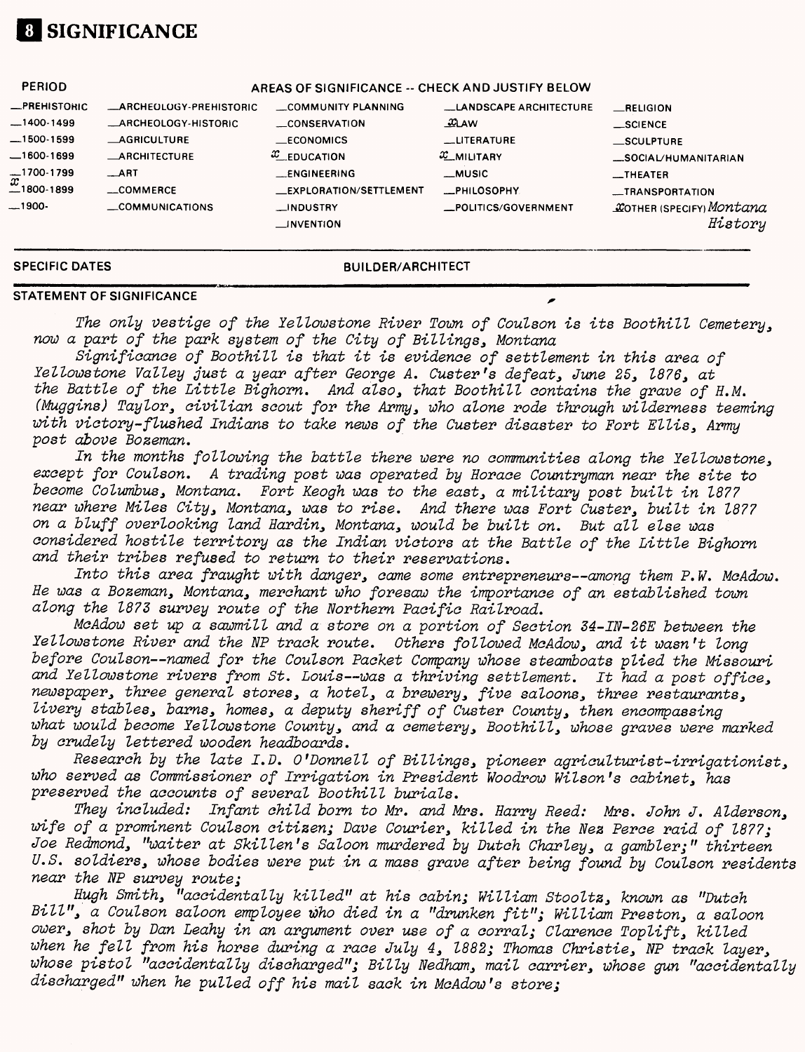# **01 SIGNIFICANCE**

| <b>PERIOD</b>                           |                                | AREAS OF SIGNIFICANCE -- CHECK AND JUSTIFY BELOW |                               |                                            |
|-----------------------------------------|--------------------------------|--------------------------------------------------|-------------------------------|--------------------------------------------|
| <b>_PREHISTORIC</b>                     | <b>_ARCHEOLOGY-PREHISTORIC</b> | COMMUNITY PLANNING                               | <b>LANDSCAPE ARCHITECTURE</b> | RELIGION                                   |
| $-1400-1499$                            | _ARCHEOLOGY-HISTORIC           | <b>CONSERVATION</b>                              | $\mathfrak{L}$ AW             | $\_$ SCIENCE                               |
| $-1500-1599$                            | <b>AGRICULTURE</b>             | $—ECONOMICS$                                     | <b>LUTERATURE</b>             | $\equiv$ SCULPTURE                         |
| $-1600-1699$                            | <b>ARCHITECTURE</b>            | $x$ EDUCATION                                    | $x$ <sub>MILITARY</sub>       | _SOCIAL/HUMANITARIAN                       |
| $\overline{x}^{1700-1799}_{-1800-1899}$ | ART                            | <b>ENGINEERING</b>                               | <b>_MUSIC</b>                 | <b>EXTHEATER</b>                           |
|                                         | __COMMERCE                     | <b>EXPLORATION/SETTLEMENT</b>                    | <b>__PHILOSOPHY</b>           | -TRANSPORTATION                            |
| __1900-                                 | COMMUNICATIONS                 | _INDUSTRY<br>$\equiv$ INVENTION                  | _POLITICS/GOVERNMENT          | <b>COTHER (SPECIFY) Montana</b><br>History |
|                                         |                                |                                                  |                               |                                            |

**SPECIFIC DATES BUILDER/ARCHITECT**

#### **STATEMENT OF SIGNIFICANCE ^**

The only vestige of the lellowstone River Town of Coulson is its Boothill Cemetery, now a part of the park system of the City of Billings, Montana

Significance of Boothill is that it is evidence of settlement in this area of lellowstone Valley just a year after George A. Ouster's defeat, June 25, 1876, at the Battle of the Little Bighorn. And also, that Boothill contains the grave of H.M. (Muggins) Taylor, civilian scout for the Army, who alone rode through wilderness teeming with victory-flushed Indians to take news of the Ouster disaster to Fort Ellis, Army post above Bozeman.

In the months following the battle there were no communities along the Yellowstone, except for Coulson. A trading post was operated by Horace Countryman near the site to become Columbus, Montana. Fort Keogh was to the east, a military post built in 187? near where Miles City, Montana, was to rise. And there was Fort Ouster, built in 1877 on a bluff overlooking land Hardin, Montana, would be built on. But all else was considered hostile territory as the Indian victors at the Battle of the Little Bighorn and their tribes refused to return to their reservations.

Into this area fraught with danger, came some entrepreneurs—among them P.M. McAdow. He was a Bozeman, Montana, merchant who foresaw the importance of an established town along the 1873 survey route of the Northern Pacific Railroad.

McAdow set up a sawmill and a store on a portion of Section 34-IN-26E between the lellowstone River and the NP track route. Others followed McAdow, and it wasn't long before Coulson—named for the Coulson Packet Company whose steamboats plied the Missouri and Yellowstone rivers from St. Louis--was a thriving settlement. It had a post office, newspaper, three general stores, a hotel, a brewery, five saloons, three restaurants, livery stables, barns, homes, a deputy sheriff of Custer County, then encompassing what would become Yellowstone County, and a cemetery, Boothill, whose graves were marked by crudely lettered wooden headboards.

Research by the late I.D. O'Donnell of Billings, pioneer agriculturist-irrigationist, who served as Commissioner of Irrigation in President Woodrow Wilson's cabinet, has preserved the accounts of several Boothill burials.

They included: Infant child born to Mr. and Mrs. Harry Reed: Mrs. John J. Alderson, wife of a prominent Coulson citizen; Dave Courier, killed in the Nez Perce raid of 1877; Joe Redmond, "waiter at Skillen's Saloon murdered by Dutch Charley, a gambler;" thirteen U.S. soldiers, whose bodies were put in a mass grave after being found by Coulson residents near the NP survey route;

Hugh Smith, "accidentally killed" at his cabin; William Stooltz, known as "Dutch Bill", a Coulson saloon employee who died in a "drunken fit"; William Preston, a saloon ower, shot by Dan Leahy in an argument over use of a corral; Clarence Toplift, killed when he fell from his horse during a race July 4, 1882; Thomas Christie, NP track layer, whose pistol "accidentally discharged"; Billy Nedham, mail carrier, whose gun "accidentally discharged" when he pulled off his mail sack in McAdow's store;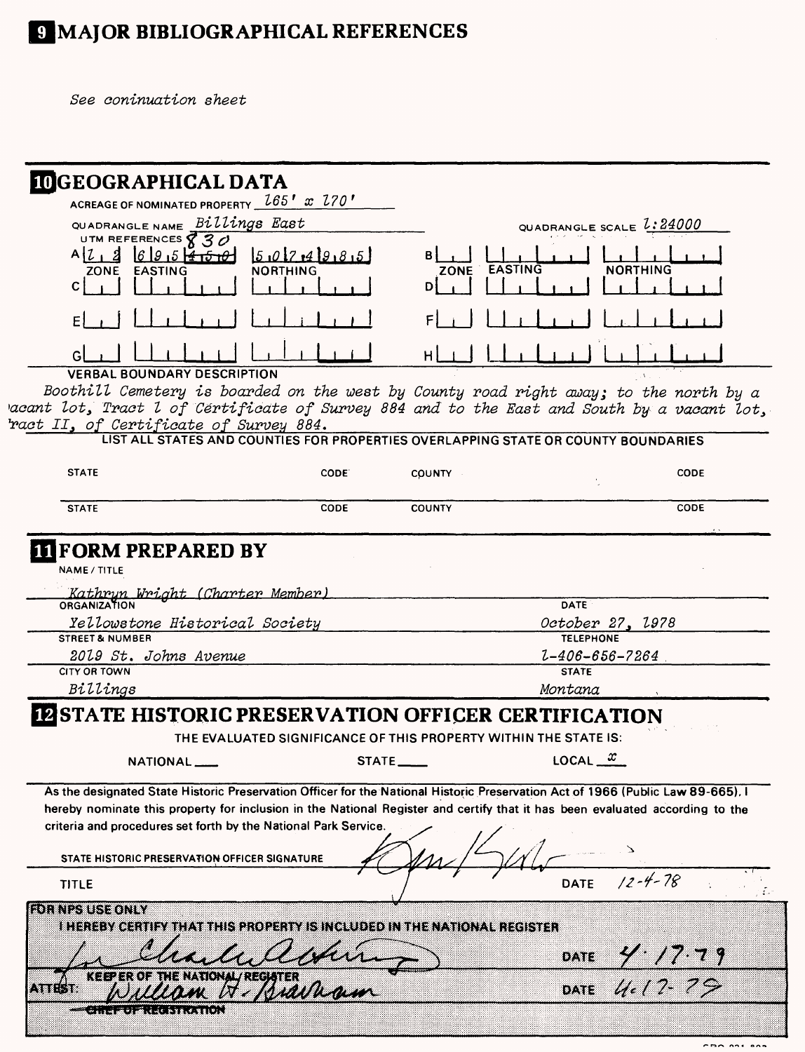# 9 MAJOR BIBLIOGRAPHICAL REFERENCES

See coninuation sheet

| <b>IDGEOGRAPHICAL DATA</b>                                                                                                                                                                                                    |                                                                  |                               |                                      |                              |
|-------------------------------------------------------------------------------------------------------------------------------------------------------------------------------------------------------------------------------|------------------------------------------------------------------|-------------------------------|--------------------------------------|------------------------------|
| ACREAGE OF NOMINATED PROPERTY $\_{165}'$ x $270'$                                                                                                                                                                             |                                                                  |                               |                                      |                              |
| QUADRANGLE NAME Billings East                                                                                                                                                                                                 |                                                                  |                               | QUADRANGLE SCALE $2.24000$           |                              |
| UTM REFERENCES $830$<br>695770<br>AIZ<br>$\boldsymbol{z}$<br>ZONE EASTING<br>C                                                                                                                                                | 5.017.49.8.5<br><b>NORTHING</b>                                  | <b>EASTING</b><br><b>ZONE</b> |                                      | NORTHING                     |
|                                                                                                                                                                                                                               |                                                                  |                               |                                      |                              |
|                                                                                                                                                                                                                               |                                                                  |                               |                                      |                              |
| <b>VERBAL BOUNDARY DESCRIPTION</b>                                                                                                                                                                                            |                                                                  |                               |                                      |                              |
| Boothill Cemetery is boarded on the west by County road right away; to the north by a<br>acant lot, Tract l of Cértificate of Survey 884 and to the East and South by a vacant lot,<br>ract II, of Certificate of Survey 884. |                                                                  |                               |                                      |                              |
| LIST ALL STATES AND COUNTIES FOR PROPERTIES OVERLAPPING STATE OR COUNTY BOUNDARIES                                                                                                                                            |                                                                  |                               |                                      |                              |
| <b>STATE</b>                                                                                                                                                                                                                  | CODE:                                                            | <b>COUNTY</b>                 |                                      | CODE                         |
| <b>STATE</b>                                                                                                                                                                                                                  | CODE                                                             | <b>COUNTY</b>                 |                                      | CODE                         |
| Kathryn Wright (Charter Member)<br>ORGANIZATION                                                                                                                                                                               |                                                                  |                               | <b>DATE</b>                          |                              |
|                                                                                                                                                                                                                               |                                                                  |                               |                                      |                              |
| Yellowstone Historical Society<br><b>STREET &amp; NUMBER</b>                                                                                                                                                                  |                                                                  |                               | October 27, 1978<br><b>TELEPHONE</b> |                              |
| 2019 St. Johns Avenue                                                                                                                                                                                                         |                                                                  |                               | $1 - 406 - 656 - 7264$               |                              |
| <b>CITY OR TOWN</b>                                                                                                                                                                                                           |                                                                  |                               | <b>STATE</b>                         |                              |
| Billings                                                                                                                                                                                                                      |                                                                  |                               | Montana                              |                              |
| <b>IZ STATE HISTORIC PRESERVATION OFFICER CERTIFICATION</b>                                                                                                                                                                   |                                                                  |                               |                                      |                              |
|                                                                                                                                                                                                                               | THE EVALUATED SIGNIFICANCE OF THIS PROPERTY WITHIN THE STATE IS: |                               |                                      |                              |
| NATIONAL ___                                                                                                                                                                                                                  |                                                                  | <b>STATE</b>                  | LOCAL $\frac{x}{x}$                  |                              |
| As the designated State Historic Preservation Officer for the National Historic Preservation Act of 1966 (Public Law 89-665). I                                                                                               |                                                                  |                               |                                      |                              |
| hereby nominate this property for inclusion in the National Register and certify that it has been evaluated according to the                                                                                                  |                                                                  |                               |                                      |                              |
| criteria and procedures set forth by the National Park Service.                                                                                                                                                               |                                                                  |                               |                                      |                              |
| STATE HISTORIC PRESERVATION OFFICER SIGNATURE                                                                                                                                                                                 |                                                                  |                               |                                      |                              |
| <b>TITLE</b>                                                                                                                                                                                                                  |                                                                  |                               | <b>DATE</b>                          | $12 - 4 - 78$                |
| <b>LOTITIZIUS KONIV</b>                                                                                                                                                                                                       |                                                                  |                               |                                      |                              |
| I HEREBY CERTIFY THAT THIS PROPERTY IS INCLUDED IN THE NATIONAL REGISTER                                                                                                                                                      |                                                                  |                               |                                      |                              |
|                                                                                                                                                                                                                               |                                                                  |                               |                                      |                              |
| <b>KEEPER OF</b><br>្នះខេត្ត                                                                                                                                                                                                  | M                                                                |                               |                                      | DATE 4.17.79<br>DATE 4.17.79 |
| <b>WALES AREA SHOWED AND IN</b>                                                                                                                                                                                               |                                                                  |                               |                                      |                              |

 $\sim$   $\sim$   $\sim$   $\sim$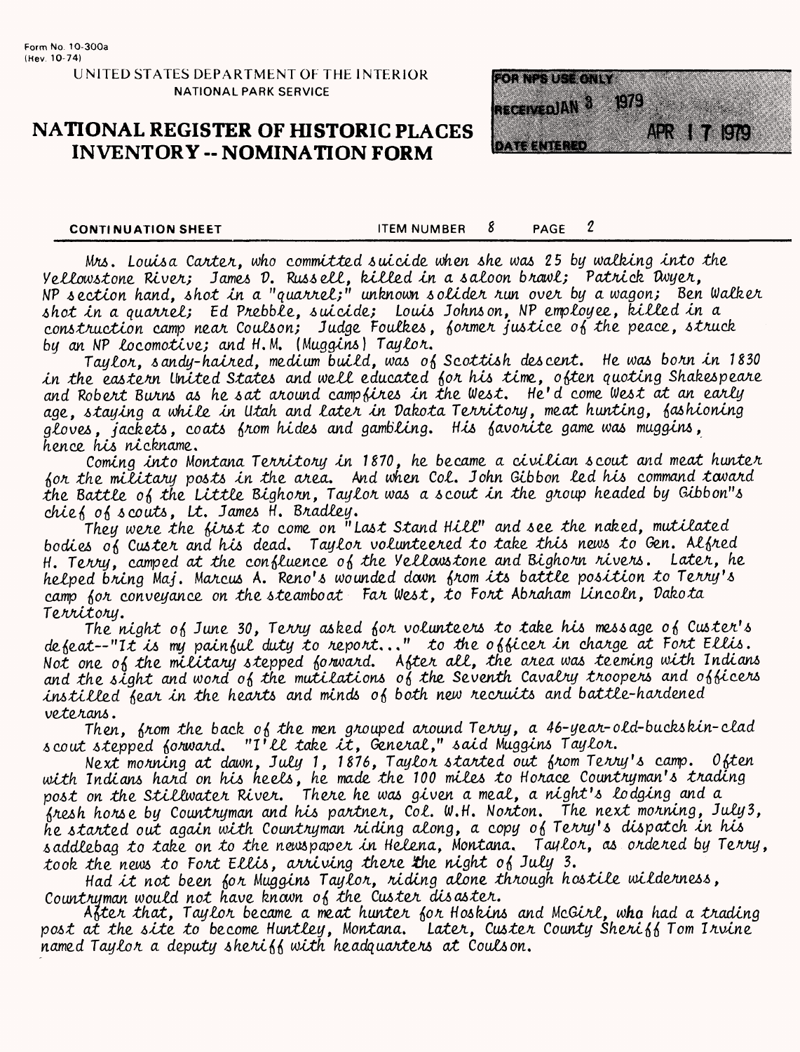# **NATIONAL REGISTER OF HISTORIC PLACES INVENTORY -- NOMINATION FORM**



**CONTINUATION SHEET** 

 $\boldsymbol{2}$ 8 PAGE **ITEM NUMBER** 

Mrs. Louisa Carter, who committed suicide when she was 25 by walking into the Yellowstone River; James D. Russell, killed in a saloon brawl; Patrick Dwyer,<br>NP section hand, shot in a "quarrel;" unknown solider run over by a wagon; Ben Walker shot in a quarrel; Ed Prebble, suicide; Louis Johnson, NP employee, killed in a construction camp near Coulson; Judge Foulkes, former justice of the peace, struck by an NP locomotive; and H.M. (Muggins) Taylor.

Taylor, sandy-haired, medium build, was of Scottish descent. He was born in 1830 in the eastern United States and well educated for his time, often quoting Shakespeare and Robert Burns as he sat around campfires in the West. He'd come West at an early age, staying a while in Utah and later in Dakota Territory, meat hunting, fashioning gloves, jackets, coats from hides and gambling. His favorite game was muggins, hence his nickname.

Coming into Montana Territory in 1870, he became a civilian scout and meat hunter for the military posts in the area. And when Col. John Gibbon led his command tavard the Battle of the Little Bighorn, Taylor was a scout in the group headed by Gibbon"s chief of scouts, Lt. James H. Bradley.

They were the first to come on "Last Stand Hill" and see the naked, mutilated bodies of Custer and his dead. Taylor volunteered to take this news to Gen. Alfred H. Terry, camped at the confluence of the Vellowstone and Bighorn rivers. Later. he helped bring Maj, Marcus A. Reno's wounded down from its battle position to Terry's camp for conveyance on the steamboat Far West, to Fort Abraham Lincoln, Dakota Territory.

The night of June 30, Terry asked for volunteers to take his message of Custer's defeat--"It is my painful duty to report..." to the officer in charge at Fort Ellis. Not one of the military stepped forward. After all, the area was teeming with Indians and the sight and word of the mutilations of the Seventh Cavalry troopers and officers instilled fear in the hearts and minds of both new recruits and battle-hardened veterans.

Then, from the back of the men grouped around Terry, a 46-year-old-buckskin-clad scout stepped forward. "I'll take it, General," said Muggins Taylor.

Next monning at dawn, July 1, 1876, Taylor started out from Terry's camp. Often with Indians hard on his heels, he made the 100 miles to Horace Countryman's trading<br>post on the Stillwater River. There he was given a meal, a night's lodging and a fresh horse by Countryman and his partner, Col. W.H. Norton. The next morning, July3, he started out again with Countryman riding along, a copy of Terry's dispatch in his saddlebag to take on to the newspaper in Helena. Montana. Taylor, as ordered by Terry. took the news to Fort Ellis, arriving there the night of July 3.

Had it not been for Muggins Taylor, riding alone through hostile wilderness, Countruman would not have known of the Custer disaster.

After that, Taylor became a meat hunter for Hoskins and McGirl, who had a trading post at the site to become Huntley, Montana. Later, Custer County Sheriff Tom Irvine named Taylor a deputy sheriff with headquarters at Coulson.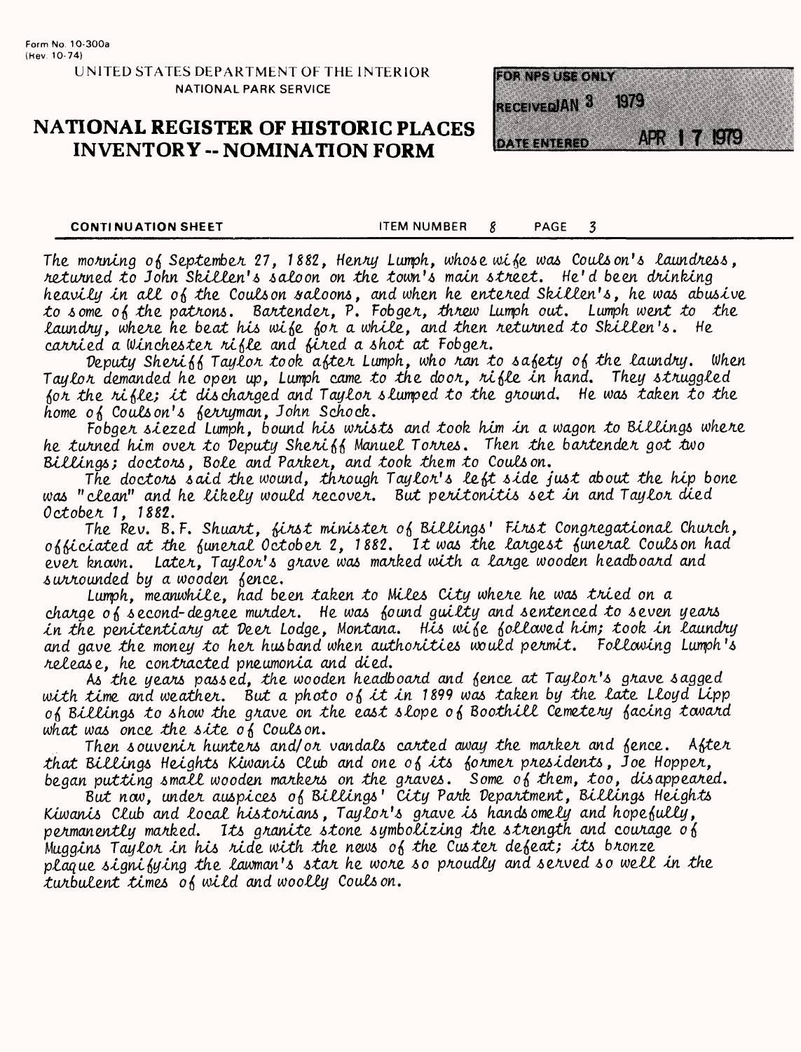# **NATIONAL REGISTER OF HISTORIC PLACES INVENTORY -- NOMINATION FORM**



**CONTINUATION SHEET** 

**ITEM NUMBER** PAGE  $\overline{\mathbf{3}}$ 8

The morning of September 27, 1882, Henry Lumph, whose wife was Coulson's laundress, returned to John Skillen's saloon on the town's main street. He'd been drinking heavily in all of the Coulson saloons, and when he entered Skillen's, he was abusive to some of the patrons. Bartender, P. Fobger, threw Lumph out. Lumph went to the laundry, where he beat his wife for a while, and then returned to Skillen's. He carried a Winchester rifle and fired a shot at Fobger.

Deputy Sheriff Taylor took after Lumph, who ran to safety of the laundry. When Taylor demanded he open up, Lumph came to the door, rifle in hand. They struggled for the rifle; it discharged and Taylor slumped to the ground. He was taken to the home of Couls on's ferryman, John Schock.

Fobger siezed Lumph, bound his wrists and took him in a wagon to Billings where he turned him over to Deputy Sheriff Manuel Torres. Then the bartender got two Billings; doctors, Bole and Parker, and took them to Coulson.

The doctors said the wound, through Taylor's left side just about the hip bone was "clean" and he likely would recover. But peritonitis set in and Taylor died October 1, 1882.

The Rev. B.F. Shuart, first minister of Billings' First Congregational Church, officiated at the funeral October 2, 1882. It was the largest funeral Coulson had ever known. Later, Taylor's grave was marked with a large wooden headboard and surrounded by a wooden fence.

Lumph, meanwhile, had been taken to Miles City where he was tried on a charge of second-degree murder. He was found guilty and sentenced to seven years in the penitentiary at Deer Lodge, Montana. His wife followed him; took in laundry and gave the money to her husband when authorities would permit. Following Lumph's release, he contracted pneumonia and died.

As the years passed, the wooden headboard and fence at Taylor's grave sagged with time and weather. But a photo of it in 1899 was taken by the late Lloyd Lipp of Billings to show the grave on the east slope of Boothill Cemetery facing tavard what was once the site of Coulson.

Then souvenir hunters and/or vandals carted away the marker and fence. After that Billings Heights Kiwanis Club and one of its former presidents, Joe Hopper, began putting small wooden markers on the graves. Some of them, too, disappeared.<br>But now, under auspices of Billings' City Park Department, Billings Heights

Kiwanis Club and local historians, Taylor's grave is handsomely and hopefully, permanently marked. Its granite stone symbolizing the strength and courage of Muggins Taylor in his ride with the news of the Custer defeat; its bronze plaque signifying the lawman's star he wore so proudly and served so well in the turbulent times of wild and woolly Couls on.